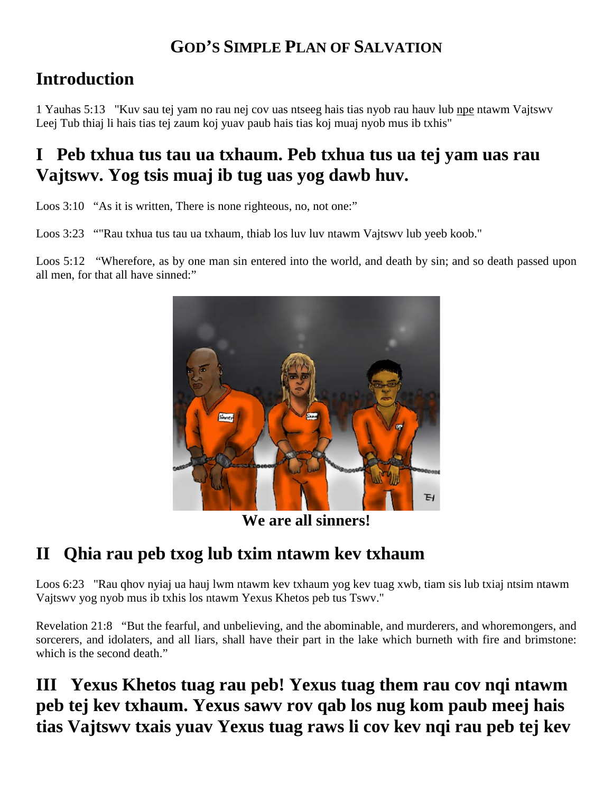### **GOD'S SIMPLE PLAN OF SALVATION**

### **Introduction**

1 Yauhas 5:13"Kuv sau tej yam no rau nej cov uas ntseeg hais tias nyob rau hauv lub [npe](http://www.gotquestions.org/Hmong/paub-nco-ntsoov-Saum-Ntuj-Ceeb-Tsheej.html) ntawm Vajtswv Leej Tub thiaj li hais tias tej zaum koj yuav paub hais tias koj muaj nyob mus ib txhis"

### **I Peb txhua tus tau ua txhaum. Peb txhua tus ua tej yam uas rau Vajtswv. Yog tsis muaj ib tug uas yog dawb huv.**

Loos 3:10 "As it is written, There is none righteous, no, not one:"

Loos 3:23 ""Rau txhua tus tau ua txhaum, thiab los luv luv ntawm Vajtswv lub yeeb koob."

Loos 5:12 "Wherefore, as by one man sin entered into the world, and death by sin; and so death passed upon all men, for that all have sinned:"



**We are all sinners!**

## **II Qhia rau peb txog lub txim ntawm kev txhaum**

Loos 6:23 "Rau qhov nyiaj ua hauj lwm ntawm kev txhaum yog kev tuag xwb, tiam sis lub txiaj ntsim ntawm Vajtswv yog nyob mus ib txhis los ntawm Yexus Khetos peb tus Tswv."

Revelation 21:8 "But the fearful, and unbelieving, and the abominable, and murderers, and whoremongers, and sorcerers, and idolaters, and all liars, shall have their part in the lake which burneth with fire and brimstone: which is the second death."

# **III Yexus Khetos tuag rau peb! Yexus tuag them rau cov nqi ntawm peb tej kev txhaum. Yexus sawv rov qab los nug kom paub meej hais tias Vajtswv txais yuav Yexus tuag raws li cov kev nqi rau peb tej kev**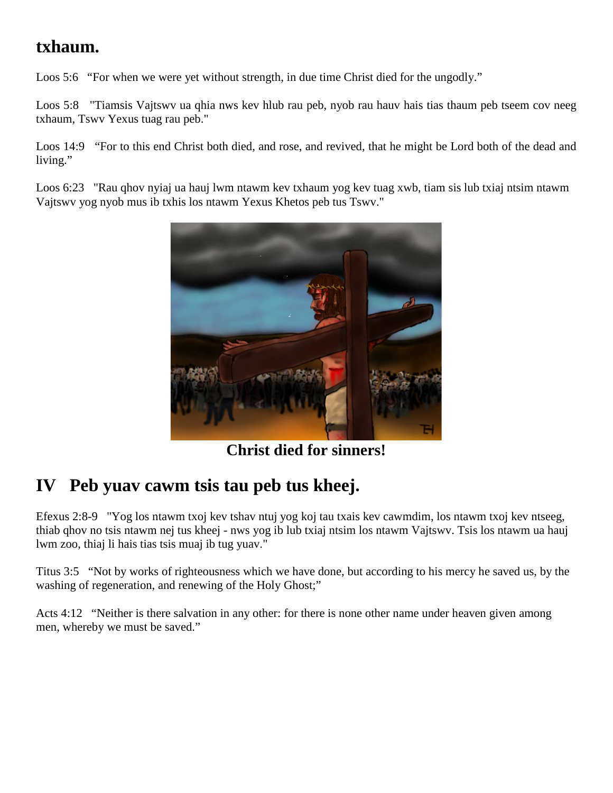### **txhaum.**

Loos 5:6 "For when we were yet without strength, in due time Christ died for the ungodly."

Loos 5:8 "Tiamsis Vajtswv ua qhia nws kev hlub rau peb, nyob rau hauv hais tias thaum peb tseem cov neeg txhaum, Tswv Yexus tuag rau peb."

Loos 14:9 "For to this end Christ both died, and rose, and revived, that he might be Lord both of the dead and living."

Loos 6:23 "Rau qhov nyiaj ua hauj lwm ntawm kev txhaum yog kev tuag xwb, tiam sis lub txiaj ntsim ntawm Vajtswv yog nyob mus ib txhis los ntawm Yexus Khetos peb tus Tswv."



**Christ died for sinners!**

## **IV Peb yuav cawm tsis tau peb tus kheej.**

Efexus 2:8-9 "Yog los ntawm txoj kev tshav ntuj yog koj tau txais kev cawmdim, los ntawm txoj kev ntseeg, thiab qhov no tsis ntawm nej tus kheej - nws yog ib lub txiaj ntsim los ntawm Vajtswv. Tsis los ntawm ua hauj lwm zoo, thiaj li hais tias tsis muaj ib tug yuav."

Titus 3:5 "Not by works of righteousness which we have done, but according to his mercy he saved us, by the washing of regeneration, and renewing of the Holy Ghost;"

Acts 4:12 "Neither is there salvation in any other: for there is none other name under heaven given among men, whereby we must be saved."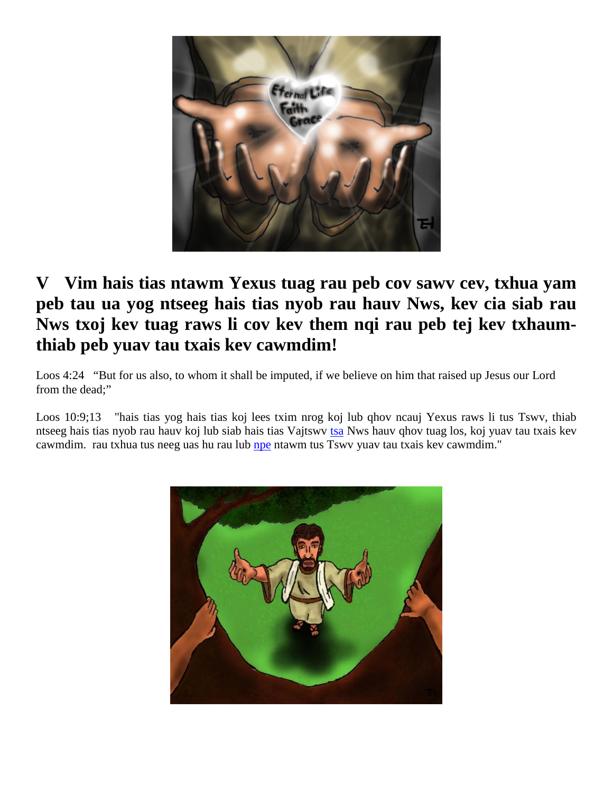

### **V Vim hais tias ntawm Yexus tuag rau peb cov sawv cev, txhua yam peb tau ua yog ntseeg hais tias nyob rau hauv Nws, kev cia siab rau Nws txoj kev tuag raws li cov kev them nqi rau peb tej kev txhaumthiab peb yuav tau txais kev cawmdim!**

Loos 4:24 "But for us also, to whom it shall be imputed, if we believe on him that raised up Jesus our Lord from the dead:"

Loos 10:9;13 "hais tias yog hais tias koj lees txim nrog koj lub qhov ncauj Yexus raws li tus Tswv, thiab ntseeg hais tias nyob rau hauv koj lub siab hais tias Vajtswv [tsa](http://www.gotquestions.org/Hmong/Loos-txoj-kev-cawmdim.html) Nws hauv qhov tuag los, koj yuav tau txais kev cawmdim. rau txhua tus neeg uas hu rau lub [npe](http://www.gotquestions.org/Hmong/Loos-txoj-kev-cawmdim.html) ntawm tus Tswv yuav tau txais kev cawmdim."